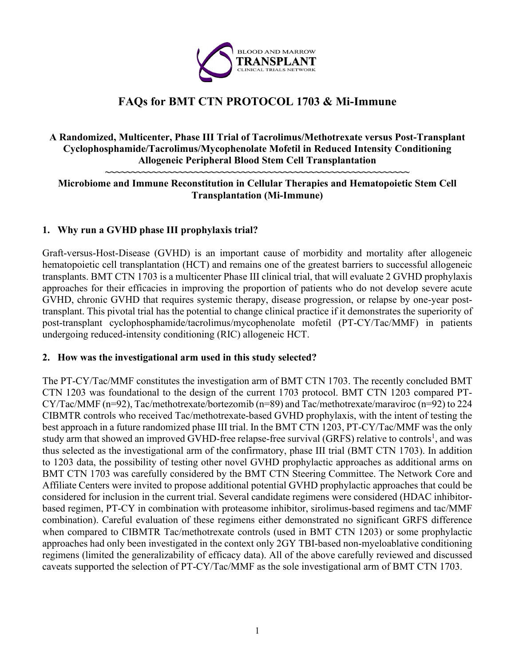

# **FAQs for BMT CTN PROTOCOL 1703 & Mi-Immune**

# **A Randomized, Multicenter, Phase III Trial of Tacrolimus/Methotrexate versus Post-Transplant Cyclophosphamide/Tacrolimus/Mycophenolate Mofetil in Reduced Intensity Conditioning Allogeneic Peripheral Blood Stem Cell Transplantation**

#### **~~~~~~~~~~~~~~~~~~~~~~~~~~~~~~~~~~~~~~~~~~~~~~~~~~~~~~~~~~ Microbiome and Immune Reconstitution in Cellular Therapies and Hematopoietic Stem Cell Transplantation (Mi-Immune)**

# **1. Why run a GVHD phase III prophylaxis trial?**

Graft-versus-Host-Disease (GVHD) is an important cause of morbidity and mortality after allogeneic hematopoietic cell transplantation (HCT) and remains one of the greatest barriers to successful allogeneic transplants. BMT CTN 1703 is a multicenter Phase III clinical trial, that will evaluate 2 GVHD prophylaxis approaches for their efficacies in improving the proportion of patients who do not develop severe acute GVHD, chronic GVHD that requires systemic therapy, disease progression, or relapse by one-year posttransplant. This pivotal trial has the potential to change clinical practice if it demonstrates the superiority of post-transplant cyclophosphamide/tacrolimus/mycophenolate mofetil (PT-CY/Tac/MMF) in patients undergoing reduced-intensity conditioning (RIC) allogeneic HCT.

#### **2. How was the investigational arm used in this study selected?**

The PT-CY/Tac/MMF constitutes the investigation arm of BMT CTN 1703. The recently concluded BMT CTN 1203 was foundational to the design of the current 1703 protocol. BMT CTN 1203 compared PT-CY/Tac/MMF (n=92), Tac/methotrexate/bortezomib (n=89) and Tac/methotrexate/maraviroc (n=92) to 224 CIBMTR controls who received Tac/methotrexate-based GVHD prophylaxis, with the intent of testing the best approach in a future randomized phase III trial. In the BMT CTN 1203, PT-CY/Tac/MMF was the only study arm that showed an improved GVHD-free relapse-free survival (GRFS) relative to controls<sup>1</sup>, and was thus selected as the investigational arm of the confirmatory, phase III trial (BMT CTN 1703). In addition to 1203 data, the possibility of testing other novel GVHD prophylactic approaches as additional arms on BMT CTN 1703 was carefully considered by the BMT CTN Steering Committee. The Network Core and Affiliate Centers were invited to propose additional potential GVHD prophylactic approaches that could be considered for inclusion in the current trial. Several candidate regimens were considered (HDAC inhibitorbased regimen, PT-CY in combination with proteasome inhibitor, sirolimus-based regimens and tac/MMF combination). Careful evaluation of these regimens either demonstrated no significant GRFS difference when compared to CIBMTR Tac/methotrexate controls (used in BMT CTN 1203) or some prophylactic approaches had only been investigated in the context only 2GY TBI-based non-myeloablative conditioning regimens (limited the generalizability of efficacy data). All of the above carefully reviewed and discussed caveats supported the selection of PT-CY/Tac/MMF as the sole investigational arm of BMT CTN 1703.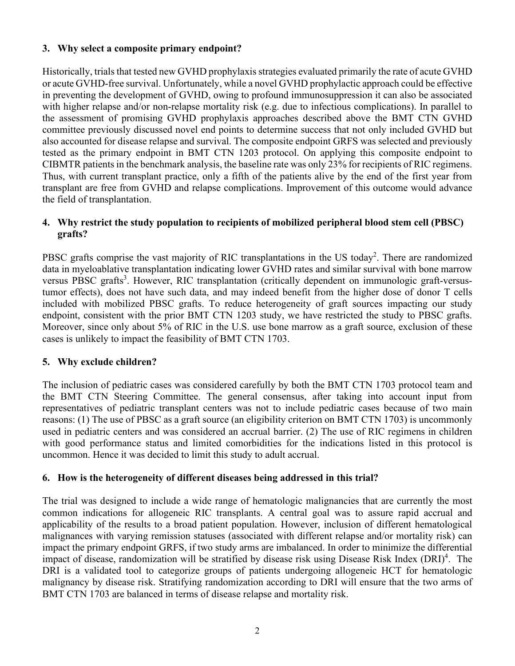# **3. Why select a composite primary endpoint?**

Historically, trials that tested new GVHD prophylaxis strategies evaluated primarily the rate of acute GVHD or acute GVHD-free survival. Unfortunately, while a novel GVHD prophylactic approach could be effective in preventing the development of GVHD, owing to profound immunosuppression it can also be associated with higher relapse and/or non-relapse mortality risk (e.g. due to infectious complications). In parallel to the assessment of promising GVHD prophylaxis approaches described above the BMT CTN GVHD committee previously discussed novel end points to determine success that not only included GVHD but also accounted for disease relapse and survival. The composite endpoint GRFS was selected and previously tested as the primary endpoint in BMT CTN 1203 protocol. On applying this composite endpoint to CIBMTR patientsin the benchmark analysis, the baseline rate was only 23% for recipients of RIC regimens. Thus, with current transplant practice, only a fifth of the patients alive by the end of the first year from transplant are free from GVHD and relapse complications. Improvement of this outcome would advance the field of transplantation.

# **4. Why restrict the study population to recipients of mobilized peripheral blood stem cell (PBSC) grafts?**

PBSC grafts comprise the vast majority of RIC transplantations in the US today<sup>2</sup>. There are randomized data in myeloablative transplantation indicating lower GVHD rates and similar survival with bone marrow versus PBSC grafts<sup>3</sup>. However, RIC transplantation (critically dependent on immunologic graft-versustumor effects), does not have such data, and may indeed benefit from the higher dose of donor T cells included with mobilized PBSC grafts. To reduce heterogeneity of graft sources impacting our study endpoint, consistent with the prior BMT CTN 1203 study, we have restricted the study to PBSC grafts. Moreover, since only about 5% of RIC in the U.S. use bone marrow as a graft source, exclusion of these cases is unlikely to impact the feasibility of BMT CTN 1703.

# **5. Why exclude children?**

The inclusion of pediatric cases was considered carefully by both the BMT CTN 1703 protocol team and the BMT CTN Steering Committee. The general consensus, after taking into account input from representatives of pediatric transplant centers was not to include pediatric cases because of two main reasons: (1) The use of PBSC as a graft source (an eligibility criterion on BMT CTN 1703) is uncommonly used in pediatric centers and was considered an accrual barrier. (2) The use of RIC regimens in children with good performance status and limited comorbidities for the indications listed in this protocol is uncommon. Hence it was decided to limit this study to adult accrual.

# **6. How is the heterogeneity of different diseases being addressed in this trial?**

The trial was designed to include a wide range of hematologic malignancies that are currently the most common indications for allogeneic RIC transplants. A central goal was to assure rapid accrual and applicability of the results to a broad patient population. However, inclusion of different hematological malignances with varying remission statuses (associated with different relapse and/or mortality risk) can impact the primary endpoint GRFS, if two study arms are imbalanced. In order to minimize the differential impact of disease, randomization will be stratified by disease risk using Disease Risk Index (DRI)<sup>4</sup>. The DRI is a validated tool to categorize groups of patients undergoing allogeneic HCT for hematologic malignancy by disease risk. Stratifying randomization according to DRI will ensure that the two arms of BMT CTN 1703 are balanced in terms of disease relapse and mortality risk.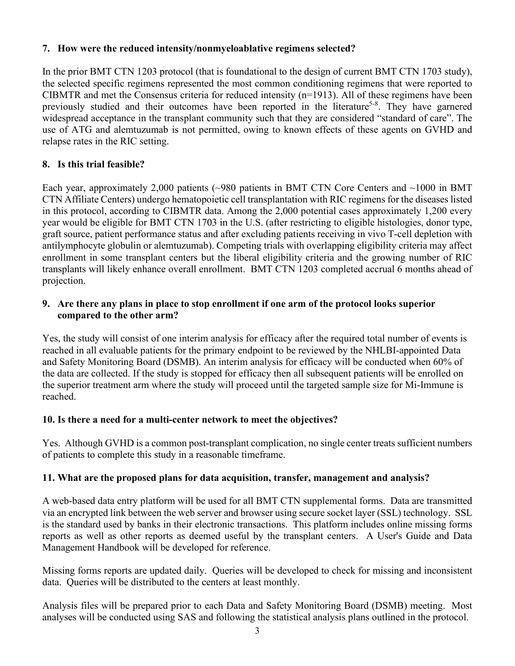# **7. How were the reduced intensity/nonmyeloablative regimens selected?**

In the prior BMT CTN 1203 protocol (that is foundational to the design of current BMT CTN 1703 study), the selected specific regimens represented the most common conditioning regimens that were reported to CIBMTR and met the Consensus criteria for reduced intensity (n=1913). All of these regimens have been previously studied and their outcomes have been reported in the literature<sup>5-8</sup>. They have garnered widespread acceptance in the transplant community such that they are considered "standard of care". The use of ATG and alemtuzumab is not permitted, owing to known effects of these agents on GVHD and relapse rates in the RIC setting.

# **8. Is this trial feasible?**

Each year, approximately 2,000 patients (~980 patients in BMT CTN Core Centers and ~1000 in BMT CTN Affiliate Centers) undergo hematopoietic cell transplantation with RIC regimens for the diseases listed in this protocol, according to CIBMTR data. Among the 2,000 potential cases approximately 1,200 every year would be eligible for BMT CTN 1703 in the U.S. (after restricting to eligible histologies, donor type, graft source, patient performance status and after excluding patients receiving in vivo T-cell depletion with antilymphocyte globulin or alemtuzumab). Competing trials with overlapping eligibility criteria may affect enrollment in some transplant centers but the liberal eligibility criteria and the growing number of RIC transplants will likely enhance overall enrollment. BMT CTN 1203 completed accrual 6 months ahead of projection.

# **9. Are there any plans in place to stop enrollment if one arm of the protocol looks superior compared to the other arm?**

Yes, the study will consist of one interim analysis for efficacy after the required total number of events is reached in all evaluable patients for the primary endpoint to be reviewed by the NHLBI-appointed Data and Safety Monitoring Board (DSMB). An interim analysis for efficacy will be conducted when 60% of the data are collected. If the study is stopped for efficacy then all subsequent patients will be enrolled on the superior treatment arm where the study will proceed until the targeted sample size for Mi-Immune is reached.

# **10. Is there a need for a multi-center network to meet the objectives?**

Yes. Although GVHD is a common post-transplant complication, no single center treats sufficient numbers of patients to complete this study in a reasonable timeframe.

# **11. What are the proposed plans for data acquisition, transfer, management and analysis?**

A web-based data entry platform will be used for all BMT CTN supplemental forms. Data are transmitted via an encrypted link between the web server and browser using secure socket layer (SSL) technology. SSL is the standard used by banks in their electronic transactions. This platform includes online missing forms reports as well as other reports as deemed useful by the transplant centers. A User's Guide and Data Management Handbook will be developed for reference.

Missing forms reports are updated daily. Queries will be developed to check for missing and inconsistent data. Queries will be distributed to the centers at least monthly.

Analysis files will be prepared prior to each Data and Safety Monitoring Board (DSMB) meeting. Most analyses will be conducted using SAS and following the statistical analysis plans outlined in the protocol.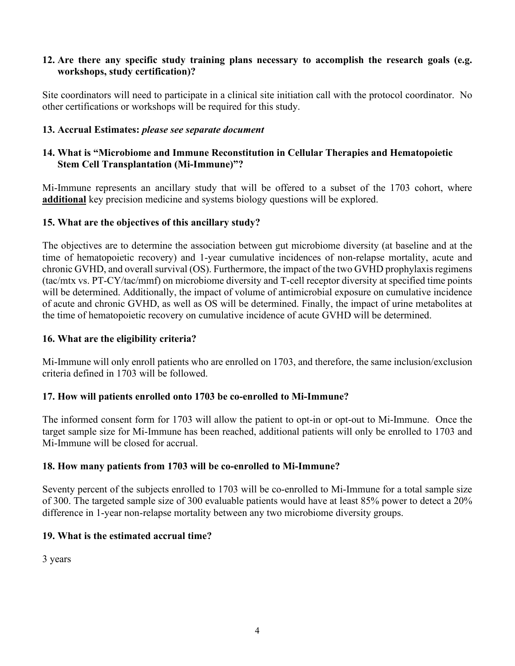# **12. Are there any specific study training plans necessary to accomplish the research goals (e.g. workshops, study certification)?**

Site coordinators will need to participate in a clinical site initiation call with the protocol coordinator. No other certifications or workshops will be required for this study.

# **13. Accrual Estimates:** *please see separate document*

# **14. What is "Microbiome and Immune Reconstitution in Cellular Therapies and Hematopoietic Stem Cell Transplantation (Mi-Immune)"?**

Mi-Immune represents an ancillary study that will be offered to a subset of the 1703 cohort, where **additional** key precision medicine and systems biology questions will be explored.

#### **15. What are the objectives of this ancillary study?**

The objectives are to determine the association between gut microbiome diversity (at baseline and at the time of hematopoietic recovery) and 1-year cumulative incidences of non-relapse mortality, acute and chronic GVHD, and overall survival (OS). Furthermore, the impact of the two GVHD prophylaxis regimens (tac/mtx vs. PT-CY/tac/mmf) on microbiome diversity and T-cell receptor diversity at specified time points will be determined. Additionally, the impact of volume of antimicrobial exposure on cumulative incidence of acute and chronic GVHD, as well as OS will be determined. Finally, the impact of urine metabolites at the time of hematopoietic recovery on cumulative incidence of acute GVHD will be determined.

# **16. What are the eligibility criteria?**

Mi-Immune will only enroll patients who are enrolled on 1703, and therefore, the same inclusion/exclusion criteria defined in 1703 will be followed.

#### **17. How will patients enrolled onto 1703 be co-enrolled to Mi-Immune?**

The informed consent form for 1703 will allow the patient to opt-in or opt-out to Mi-Immune. Once the target sample size for Mi-Immune has been reached, additional patients will only be enrolled to 1703 and Mi-Immune will be closed for accrual.

#### **18. How many patients from 1703 will be co-enrolled to Mi-Immune?**

Seventy percent of the subjects enrolled to 1703 will be co-enrolled to Mi-Immune for a total sample size of 300. The targeted sample size of 300 evaluable patients would have at least 85% power to detect a 20% difference in 1-year non-relapse mortality between any two microbiome diversity groups.

# **19. What is the estimated accrual time?**

3 years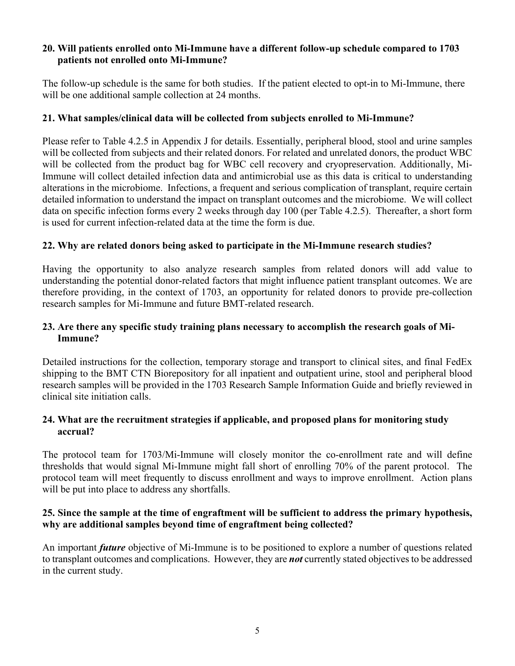# **20. Will patients enrolled onto Mi-Immune have a different follow-up schedule compared to 1703 patients not enrolled onto Mi-Immune?**

The follow-up schedule is the same for both studies. If the patient elected to opt-in to Mi-Immune, there will be one additional sample collection at 24 months.

# **21. What samples/clinical data will be collected from subjects enrolled to Mi-Immune?**

Please refer to Table 4.2.5 in Appendix J for details. Essentially, peripheral blood, stool and urine samples will be collected from subjects and their related donors. For related and unrelated donors, the product WBC will be collected from the product bag for WBC cell recovery and cryopreservation. Additionally, Mi-Immune will collect detailed infection data and antimicrobial use as this data is critical to understanding alterations in the microbiome. Infections, a frequent and serious complication of transplant, require certain detailed information to understand the impact on transplant outcomes and the microbiome. We will collect data on specific infection forms every 2 weeks through day 100 (per Table 4.2.5). Thereafter, a short form is used for current infection-related data at the time the form is due.

# **22. Why are related donors being asked to participate in the Mi-Immune research studies?**

Having the opportunity to also analyze research samples from related donors will add value to understanding the potential donor-related factors that might influence patient transplant outcomes. We are therefore providing, in the context of 1703, an opportunity for related donors to provide pre-collection research samples for Mi-Immune and future BMT-related research.

# **23. Are there any specific study training plans necessary to accomplish the research goals of Mi-Immune?**

Detailed instructions for the collection, temporary storage and transport to clinical sites, and final FedEx shipping to the BMT CTN Biorepository for all inpatient and outpatient urine, stool and peripheral blood research samples will be provided in the 1703 Research Sample Information Guide and briefly reviewed in clinical site initiation calls.

# **24. What are the recruitment strategies if applicable, and proposed plans for monitoring study accrual?**

The protocol team for 1703/Mi-Immune will closely monitor the co-enrollment rate and will define thresholds that would signal Mi-Immune might fall short of enrolling 70% of the parent protocol. The protocol team will meet frequently to discuss enrollment and ways to improve enrollment. Action plans will be put into place to address any shortfalls.

#### **25. Since the sample at the time of engraftment will be sufficient to address the primary hypothesis, why are additional samples beyond time of engraftment being collected?**

An important *future* objective of Mi-Immune is to be positioned to explore a number of questions related to transplant outcomes and complications. However, they are *not* currently stated objectives to be addressed in the current study.